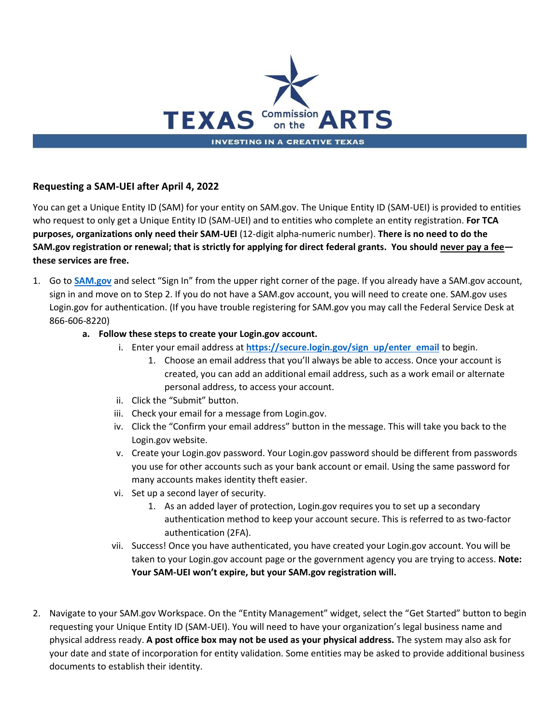

## **Requesting a SAM-UEI after April 4, 2022**

You can get a Unique Entity ID (SAM) for your entity on SAM.gov. The Unique Entity ID (SAM-UEI) is provided to entities who request to only get a Unique Entity ID (SAM-UEI) and to entities who complete an entity registration. **For TCA purposes, organizations only need their SAM-UEI** (12-digit alpha-numeric number). **There is no need to do the SAM.gov registration or renewal; that is strictly for applying for direct federal grants. You should never pay a fee these services are free.** 

1. Go to **[SAM.gov](https://sam.gov/content/home)** and select "Sign In" from the upper right corner of the page. If you already have a SAM.gov account, sign in and move on to Step 2. If you do not have a SAM.gov account, you will need to create one. SAM.gov uses Login.gov for authentication. (If you have trouble registering for SAM.gov you may call the Federal Service Desk at 866-606-8220)

#### **a. Follow these steps to create your Login.gov account.**

- i. Enter your email address at **[https://secure.login.gov/sign up/enter email](https://secure.login.gov/sign_up/enter_email)** to begin.
	- 1. Choose an email address that you'll always be able to access. Once your account is created, you can add an additional email address, such as a work email or alternate personal address, to access your account.
- ii. Click the "Submit" button.
- iii. Check your email for a message from Login.gov.
- iv. Click the "Confirm your email address" button in the message. This will take you back to the Login.gov website.
- v. Create your Login.gov password. Your Login.gov password should be different from passwords you use for other accounts such as your bank account or email. Using the same password for many accounts makes identity theft easier.
- vi. Set up a second layer of security.
	- 1. As an added layer of protection, Login.gov requires you to set up a secondary authentication method to keep your account secure. This is referred to as two-factor authentication (2FA).
- vii. Success! Once you have authenticated, you have created your Login.gov account. You will be taken to your Login.gov account page or the government agency you are trying to access. **Note: Your SAM-UEI won't expire, but your SAM.gov registration will.**
- 2. Navigate to your SAM.gov Workspace. On the "Entity Management" widget, select the "Get Started" button to begin requesting your Unique Entity ID (SAM-UEI). You will need to have your organization's legal business name and physical address ready. **A post office box may not be used as your physical address.** The system may also ask for your date and state of incorporation for entity validation. Some entities may be asked to provide additional business documents to establish their identity.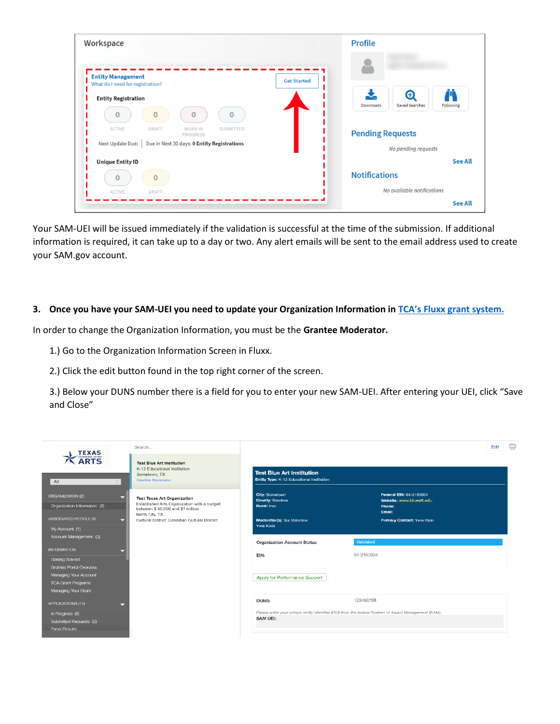| Workspace                                                          | <b>Profile</b>                                                           |
|--------------------------------------------------------------------|--------------------------------------------------------------------------|
| <b>Entity Management</b><br>What do I need for registration?       | <b>Get Started</b>                                                       |
| <b>Entity Registration</b><br>$\Omega$<br>$\Omega$<br>$\circ$<br>0 | $\boldsymbol{\oplus}$<br><b>Saved Searches</b><br>Downloads<br>Following |
| ACTIVE<br>DRAFT<br><b>WORK IN</b><br><b>SUBMITTED</b><br>PROGRESS  | <b>Pending Requests</b>                                                  |
| Next Update Due:<br>Due in Next 30 days: 0 Entity Registrations    | No pending requests                                                      |
| <b>Unique Entity ID</b>                                            | <b>See All</b>                                                           |
| 0                                                                  | <b>Notifications</b>                                                     |
| ACTIVE<br>DRAFT                                                    | No available notifications                                               |
|                                                                    | <b>See All</b>                                                           |

Your SAM-UEI will be issued immediately if the validation is successful at the time of the submission. If additional information is required, it can take up to a day or two. Any alert emails will be sent to the email address used to create your SAM.gov account.

#### **3. Once you have your SAM-UEI you need to update your Organization Information in [TCA's Fluxx grant system.](https://arts.fluxx.io/user_sessions/new)**

In order to change the Organization Information, you must be the **Grantee Moderator.** 

- 1.) Go to the Organization Information Screen in Fluxx.
- 2.) Click the edit button found in the top right corner of the screen.

3.) Below your DUNS number there is a field for you to enter your new SAM-UEI. After entering your UEI, click "Save and Close"

| <b>TEXAS</b>                                                                     | Search                                                                                                                                  |                                                                               |                                                                                                     | $\Rightarrow$<br>Edit |  |
|----------------------------------------------------------------------------------|-----------------------------------------------------------------------------------------------------------------------------------------|-------------------------------------------------------------------------------|-----------------------------------------------------------------------------------------------------|-----------------------|--|
| ARTS<br>$\hat{\mathbb{C}}$<br>A                                                  | <b>Test Blue Art Institution</b><br>K-12 Educational Institution<br>Sometown, TX<br><b>Grantee Moderator</b>                            | <b>Test Blue Art Institution</b><br>Entity Type: K-12 Educational Institution |                                                                                                     |                       |  |
| <b>ORGANIZATION (2)</b><br>Organization Information (2)                          | <b>Test Texas Art Organization</b><br>Established Arts Organization with a budget<br>between \$50,000 and \$1 million<br>North City, TX | <b>City: Sometown</b><br><b>County: Bandera</b><br><b>Rural: true</b>         | Federal EIN: 04-2163004<br>Website: www.blueart.edu<br><b>Phone:</b><br>Email:                      |                       |  |
| <b>ASSOCIATED PEOPLE (4)</b><br>My Account (1)                                   | Cultural District: Canadian Cultural District                                                                                           | <b>Moderator(s): Tex Valentine</b><br><b>Yves Klein</b>                       | <b>Primary Contact: Yves Klein</b>                                                                  |                       |  |
| Account Management (3)<br><b>INFORMATION</b>                                     |                                                                                                                                         | <b>Organization Account Status</b>                                            | Validated                                                                                           |                       |  |
| <b>Getting Started</b><br><b>Grantee Portal Overview</b>                         |                                                                                                                                         | EIN:                                                                          | 04-2163004                                                                                          |                       |  |
| <b>Managing Your Account</b><br><b>TCA Grant Programs</b><br>Managing Your Grant |                                                                                                                                         | Apply for Performance Support                                                 |                                                                                                     |                       |  |
| <b>APPLICATIONS (11)</b>                                                         |                                                                                                                                         | <b>DUNS:</b>                                                                  | 123456789                                                                                           |                       |  |
| In Progress (8)<br>Submitted Requests (2)<br>Panel Results                       |                                                                                                                                         | <b>SAM UEI:</b>                                                               | Please enter your unique entity identifier (UEI) from the federal System of Award Management (SAM). |                       |  |